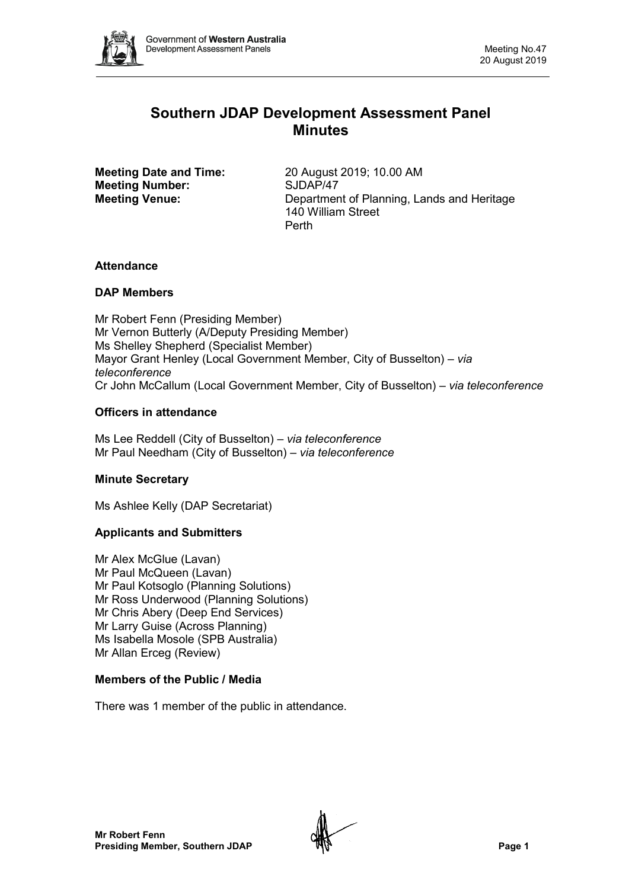

# **Southern JDAP Development Assessment Panel Minutes**

**Meeting Number:** 

**Meeting Date and Time:** 20 August 2019; 10.00 AM<br> **Meeting Number:** SJDAP/47 **Meeting Venue:** Department of Planning, Lands and Heritage 140 William Street Perth

# **Attendance**

# **DAP Members**

Mr Robert Fenn (Presiding Member) Mr Vernon Butterly (A/Deputy Presiding Member) Ms Shelley Shepherd (Specialist Member) Mayor Grant Henley (Local Government Member, City of Busselton) *– via teleconference* Cr John McCallum (Local Government Member, City of Busselton) – *via teleconference*

# **Officers in attendance**

Ms Lee Reddell (City of Busselton) *– via teleconference* Mr Paul Needham (City of Busselton) *– via teleconference*

# **Minute Secretary**

Ms Ashlee Kelly (DAP Secretariat)

# **Applicants and Submitters**

Mr Alex McGlue (Lavan) Mr Paul McQueen (Lavan) Mr Paul Kotsoglo (Planning Solutions) Mr Ross Underwood (Planning Solutions) Mr Chris Abery (Deep End Services) Mr Larry Guise (Across Planning) Ms Isabella Mosole (SPB Australia) Mr Allan Erceg (Review)

# **Members of the Public / Media**

There was 1 member of the public in attendance.

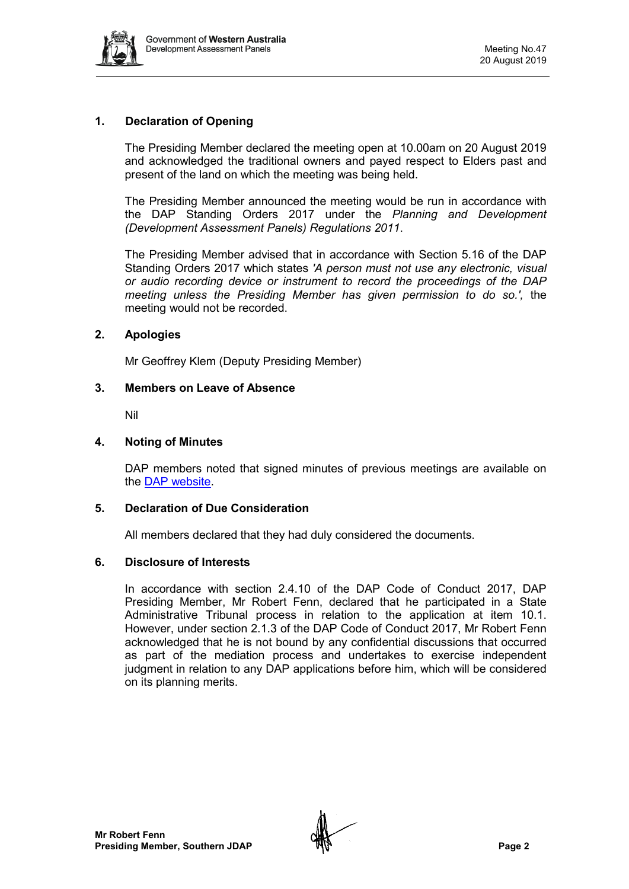

# **1. Declaration of Opening**

The Presiding Member declared the meeting open at 10.00am on 20 August 2019 and acknowledged the traditional owners and payed respect to Elders past and present of the land on which the meeting was being held.

The Presiding Member announced the meeting would be run in accordance with the DAP Standing Orders 2017 under the *Planning and Development (Development Assessment Panels) Regulations 2011*.

The Presiding Member advised that in accordance with Section 5.16 of the DAP Standing Orders 2017 which states *'A person must not use any electronic, visual or audio recording device or instrument to record the proceedings of the DAP meeting unless the Presiding Member has given permission to do so.',* the meeting would not be recorded.

### **2. Apologies**

Mr Geoffrey Klem (Deputy Presiding Member)

### **3. Members on Leave of Absence**

Nil

### **4. Noting of Minutes**

DAP members noted that signed minutes of previous meetings are available on the [DAP website.](https://www.dplh.wa.gov.au/about/development-assessment-panels/daps-agendas-and-minutes)

#### **5. Declaration of Due Consideration**

All members declared that they had duly considered the documents.

#### **6. Disclosure of Interests**

In accordance with section 2.4.10 of the DAP Code of Conduct 2017, DAP Presiding Member, Mr Robert Fenn, declared that he participated in a State Administrative Tribunal process in relation to the application at item 10.1. However, under section 2.1.3 of the DAP Code of Conduct 2017, Mr Robert Fenn acknowledged that he is not bound by any confidential discussions that occurred as part of the mediation process and undertakes to exercise independent judgment in relation to any DAP applications before him, which will be considered on its planning merits.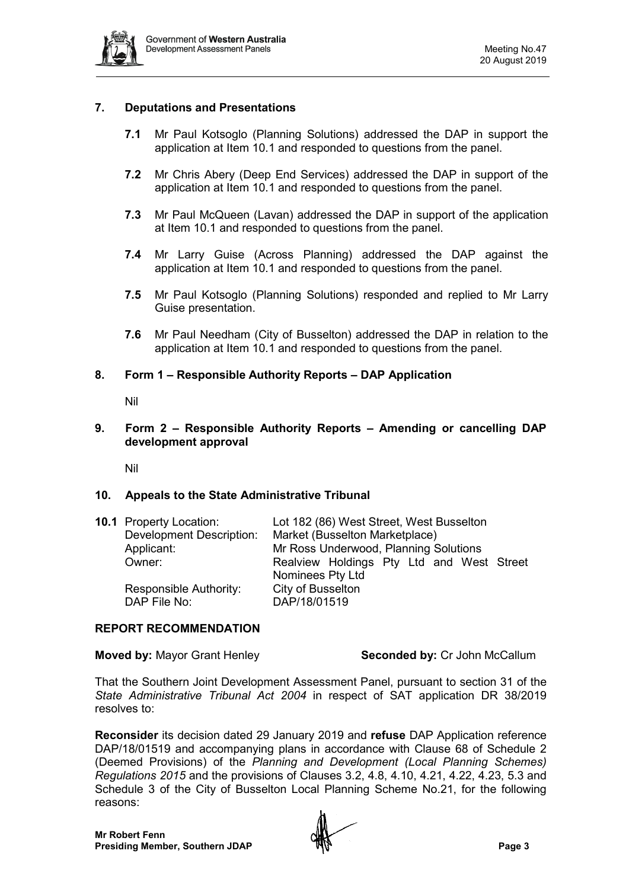

# **7. Deputations and Presentations**

- **7.1** Mr Paul Kotsoglo (Planning Solutions) addressed the DAP in support the application at Item 10.1 and responded to questions from the panel.
- **7.2** Mr Chris Abery (Deep End Services) addressed the DAP in support of the application at Item 10.1 and responded to questions from the panel.
- **7.3** Mr Paul McQueen (Lavan) addressed the DAP in support of the application at Item 10.1 and responded to questions from the panel.
- **7.4** Mr Larry Guise (Across Planning) addressed the DAP against the application at Item 10.1 and responded to questions from the panel.
- **7.5** Mr Paul Kotsoglo (Planning Solutions) responded and replied to Mr Larry Guise presentation.
- **7.6** Mr Paul Needham (City of Busselton) addressed the DAP in relation to the application at Item 10.1 and responded to questions from the panel.

## **8. Form 1 – Responsible Authority Reports – DAP Application**

Nil

#### **9. Form 2 – Responsible Authority Reports – Amending or cancelling DAP development approval**

Nil

#### **10. Appeals to the State Administrative Tribunal**

| <b>10.1 Property Location:</b>         | Lot 182 (86) West Street, West Busselton              |
|----------------------------------------|-------------------------------------------------------|
| <b>Development Description:</b>        | Market (Busselton Marketplace)                        |
| Applicant:                             | Mr Ross Underwood, Planning Solutions                 |
| Owner:                                 | Realview Holdings Pty Ltd and West Street             |
| Responsible Authority:<br>DAP File No: | Nominees Pty Ltd<br>City of Busselton<br>DAP/18/01519 |

#### **REPORT RECOMMENDATION**

**Moved by: Mayor Grant Henley <b>Seconded by:** Cr John McCallum

That the Southern Joint Development Assessment Panel, pursuant to section 31 of the *State Administrative Tribunal Act 2004* in respect of SAT application DR 38/2019 resolves to:

**Reconsider** its decision dated 29 January 2019 and **refuse** DAP Application reference DAP/18/01519 and accompanying plans in accordance with Clause 68 of Schedule 2 (Deemed Provisions) of the *Planning and Development (Local Planning Schemes) Regulations 2015* and the provisions of Clauses 3.2, 4.8, 4.10, 4.21, 4.22, 4.23, 5.3 and Schedule 3 of the City of Busselton Local Planning Scheme No.21, for the following reasons:

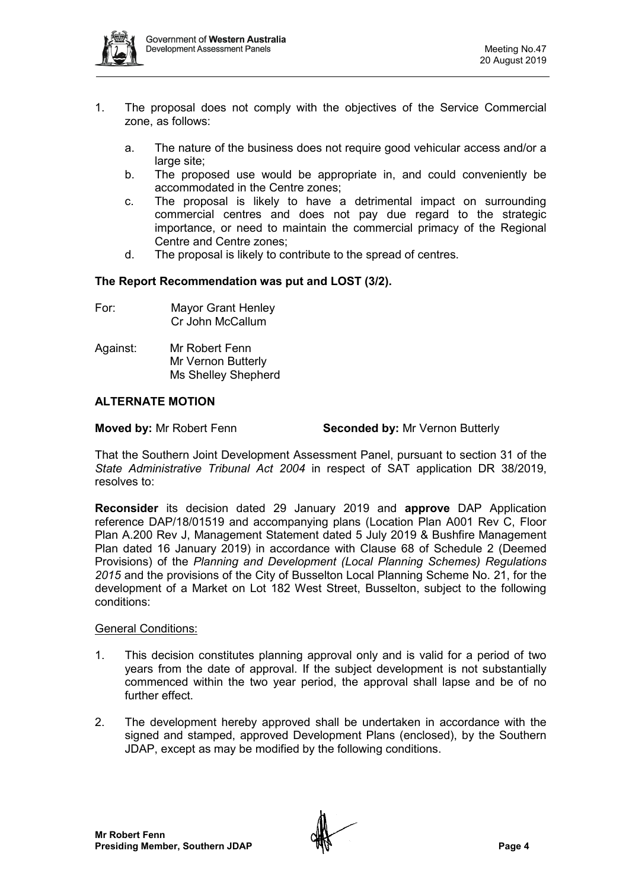

- 1. The proposal does not comply with the objectives of the Service Commercial zone, as follows:
	- a. The nature of the business does not require good vehicular access and/or a large site:
	- b. The proposed use would be appropriate in, and could conveniently be accommodated in the Centre zones;
	- c. The proposal is likely to have a detrimental impact on surrounding commercial centres and does not pay due regard to the strategic importance, or need to maintain the commercial primacy of the Regional Centre and Centre zones;
	- d. The proposal is likely to contribute to the spread of centres.

### **The Report Recommendation was put and LOST (3/2).**

- For: Mayor Grant Henley Cr John McCallum
- Against: Mr Robert Fenn Mr Vernon Butterly Ms Shelley Shepherd

# **ALTERNATE MOTION**

**Moved by:** Mr Robert Fenn **Seconded by:** Mr Vernon Butterly

That the Southern Joint Development Assessment Panel, pursuant to section 31 of the *State Administrative Tribunal Act 2004* in respect of SAT application DR 38/2019, resolves to:

**Reconsider** its decision dated 29 January 2019 and **approve** DAP Application reference DAP/18/01519 and accompanying plans (Location Plan A001 Rev C, Floor Plan A.200 Rev J, Management Statement dated 5 July 2019 & Bushfire Management Plan dated 16 January 2019) in accordance with Clause 68 of Schedule 2 (Deemed Provisions) of the *Planning and Development (Local Planning Schemes) Regulations 2015* and the provisions of the City of Busselton Local Planning Scheme No. 21, for the development of a Market on Lot 182 West Street, Busselton, subject to the following conditions:

#### General Conditions:

- 1. This decision constitutes planning approval only and is valid for a period of two years from the date of approval. If the subject development is not substantially commenced within the two year period, the approval shall lapse and be of no further effect.
- 2. The development hereby approved shall be undertaken in accordance with the signed and stamped, approved Development Plans (enclosed), by the Southern JDAP, except as may be modified by the following conditions.

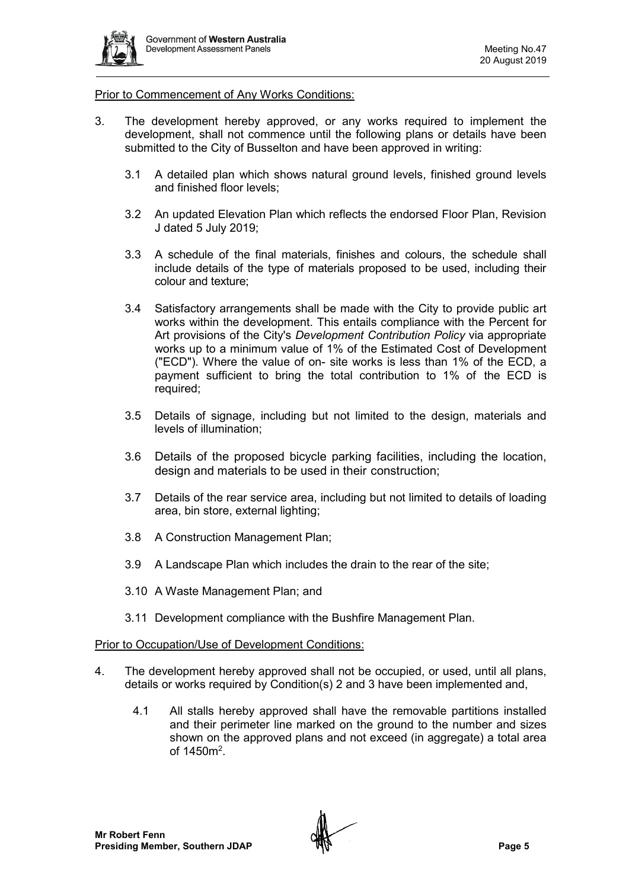

#### Prior to Commencement of Any Works Conditions:

- 3. The development hereby approved, or any works required to implement the development, shall not commence until the following plans or details have been submitted to the City of Busselton and have been approved in writing:
	- 3.1 A detailed plan which shows natural ground levels, finished ground levels and finished floor levels;
	- 3.2 An updated Elevation Plan which reflects the endorsed Floor Plan, Revision J dated 5 July 2019;
	- 3.3 A schedule of the final materials, finishes and colours, the schedule shall include details of the type of materials proposed to be used, including their colour and texture;
	- 3.4 Satisfactory arrangements shall be made with the City to provide public art works within the development. This entails compliance with the Percent for Art provisions of the City's *Development Contribution Policy* via appropriate works up to a minimum value of 1% of the Estimated Cost of Development ("ECD"). Where the value of on- site works is less than 1% of the ECD, a payment sufficient to bring the total contribution to 1% of the ECD is required:
	- 3.5 Details of signage, including but not limited to the design, materials and levels of illumination;
	- 3.6 Details of the proposed bicycle parking facilities, including the location, design and materials to be used in their construction:
	- 3.7 Details of the rear service area, including but not limited to details of loading area, bin store, external lighting;
	- 3.8 A Construction Management Plan;
	- 3.9 A Landscape Plan which includes the drain to the rear of the site;
	- 3.10 A Waste Management Plan; and
	- 3.11 Development compliance with the Bushfire Management Plan.

#### Prior to Occupation/Use of Development Conditions:

- 4. The development hereby approved shall not be occupied, or used, until all plans, details or works required by Condition(s) 2 and 3 have been implemented and,
	- 4.1 All stalls hereby approved shall have the removable partitions installed and their perimeter line marked on the ground to the number and sizes shown on the approved plans and not exceed (in aggregate) a total area of  $1450m^2$ .

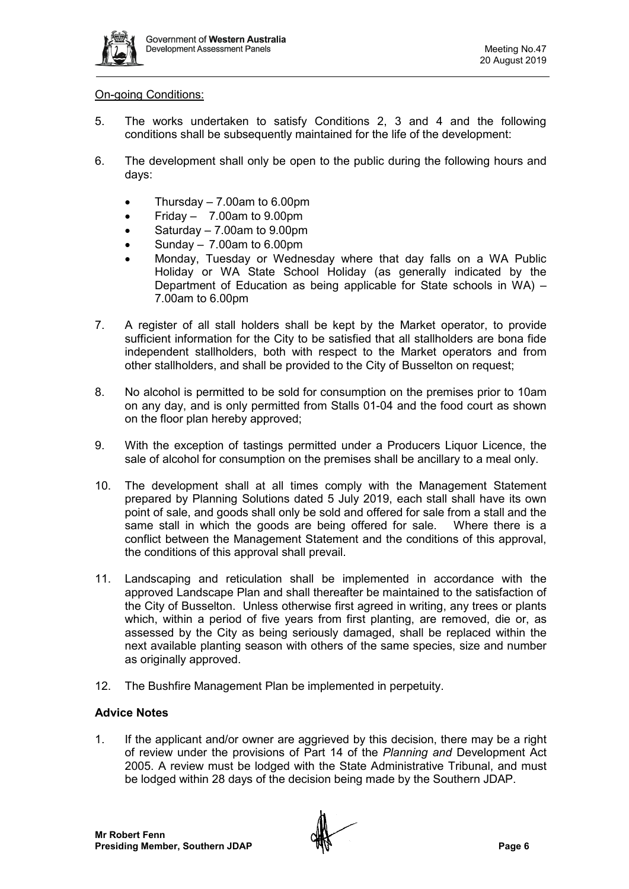

## On-going Conditions:

- 5. The works undertaken to satisfy Conditions 2, 3 and 4 and the following conditions shall be subsequently maintained for the life of the development:
- 6. The development shall only be open to the public during the following hours and days:
	- Thursday 7.00am to 6.00pm
	- Friday  $7.00$ am to  $9.00$ pm
	- Saturday 7.00am to 9.00pm
	- Sunday 7.00am to 6.00pm
	- Monday, Tuesday or Wednesday where that day falls on a WA Public Holiday or WA State School Holiday (as generally indicated by the Department of Education as being applicable for State schools in WA) – 7.00am to 6.00pm
- 7. A register of all stall holders shall be kept by the Market operator, to provide sufficient information for the City to be satisfied that all stallholders are bona fide independent stallholders, both with respect to the Market operators and from other stallholders, and shall be provided to the City of Busselton on request;
- 8. No alcohol is permitted to be sold for consumption on the premises prior to 10am on any day, and is only permitted from Stalls 01-04 and the food court as shown on the floor plan hereby approved;
- 9. With the exception of tastings permitted under a Producers Liquor Licence, the sale of alcohol for consumption on the premises shall be ancillary to a meal only.
- 10. The development shall at all times comply with the Management Statement prepared by Planning Solutions dated 5 July 2019, each stall shall have its own point of sale, and goods shall only be sold and offered for sale from a stall and the same stall in which the goods are being offered for sale. Where there is a conflict between the Management Statement and the conditions of this approval, the conditions of this approval shall prevail.
- 11. Landscaping and reticulation shall be implemented in accordance with the approved Landscape Plan and shall thereafter be maintained to the satisfaction of the City of Busselton. Unless otherwise first agreed in writing, any trees or plants which, within a period of five years from first planting, are removed, die or, as assessed by the City as being seriously damaged, shall be replaced within the next available planting season with others of the same species, size and number as originally approved.
- 12. The Bushfire Management Plan be implemented in perpetuity.

# **Advice Notes**

1. If the applicant and/or owner are aggrieved by this decision, there may be a right of review under the provisions of Part 14 of the *Planning and* Development Act 2005. A review must be lodged with the State Administrative Tribunal, and must be lodged within 28 days of the decision being made by the Southern JDAP.